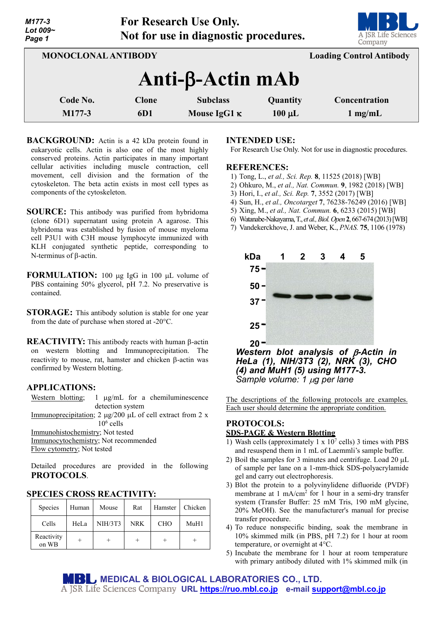| Lot 009~<br>Page 1         | Not for use in diagnostic procedures. | <u> De la Barca</u><br>A JSR Life Sciences<br>Company |                         |                                    |  |  |  |  |  |
|----------------------------|---------------------------------------|-------------------------------------------------------|-------------------------|------------------------------------|--|--|--|--|--|
| <b>MONOCLONAL ANTIBODY</b> | <b>Loading Control Antibody</b>       |                                                       |                         |                                    |  |  |  |  |  |
| $Anti-B-Actin$ mAb         |                                       |                                                       |                         |                                    |  |  |  |  |  |
| Code No.<br>M177-3         | <b>Clone</b><br>6D1                   | <b>Subclass</b><br>Mouse IgG1 $\kappa$                | Quantity<br>$100 \mu L$ | Concentration<br>$1 \text{ mg/mL}$ |  |  |  |  |  |

**For Research Use Only.**

- **BACKGROUND:** Actin is a 42 kDa protein found in eukaryotic cells. Actin is also one of the most highly conserved proteins. Actin participates in many important cellular activities including muscle contraction, cell movement, cell division and the formation of the cytoskeleton. The beta actin exists in most cell types as components of the cytoskeleton.
- **SOURCE:** This antibody was purified from hybridoma (clone 6D1) supernatant using protein A agarose. This hybridoma was established by fusion of mouse myeloma cell P3U1 with C3H mouse lymphocyte immunized with KLH conjugated synthetic peptide, corresponding to N-terminus of β-actin.
- **FORMULATION:** 100 µg IgG in 100 µL volume of PBS containing 50% glycerol, pH 7.2. No preservative is contained.
- **STORAGE:** This antibody solution is stable for one year from the date of purchase when stored at -20°C.
- **REACTIVITY:** This antibody reacts with human β-actin on western blotting and Immunoprecipitation. The reactivity to mouse, rat, hamster and chicken β-actin was confirmed by Western blotting.

### **APPLICATIONS:**

*M177-3*

Western blotting; 1  $\mu$ g/mL for a chemiluminescence detection system Immunoprecipitation; 2 µg/200 µL of cell extract from 2 x  $10<sup>6</sup>$  cells Immunohistochemistry; Not tested

Immunocytochemistry; Not recommended Flow cytometry; Not tested

Detailed procedures are provided in the following **PROTOCOLS**.

| Species             | Human | Mouse   | Rat        | Hamster    | Chicken |
|---------------------|-------|---------|------------|------------|---------|
| Cells               | HeLa  | NIH/3T3 | <b>NRK</b> | <b>CHO</b> | MuH1    |
| Reactivity<br>on WB |       |         |            |            |         |

# **SPECIES CROSS REACTIVITY:**

### **INTENDED USE:**

For Research Use Only. Not for use in diagnostic procedures.

#### **REFERENCES:**

- 1) Tong, L., *et al., Sci. Rep.* **8**, 11525 (2018) [WB]
- 2) Ohkuro, M., *et al., Nat. Commun.* **9**, 1982 (2018) [WB]
- 3) Hori, I., *et al., Sci. Rep.* **7**, 3552 (2017) [WB]
- 4) Sun, H., *et al., Oncotarget* **7**, 76238-76249 (2016) [WB]
- 5) Xing, M., *et al., Nat. Commun.* **6**, 6233 (2015) [WB]
- 6) Watanabe-Nakayama,T.,*et al.,Biol.Open***2**,667-674(2013) [WB]
- 7) Vandekerckhove, J. and Weber, K., *PNAS.* **75**, 1106 (1978)



*Western blot analysis of* β*-Actin in HeLa (1), NIH/3T3 (2), NRK (3), CHO (4) and MuH1 (5) using M177-3. Sample volume: 1* <sup>µ</sup>*g per lane*

The descriptions of the following protocols are examples. Each user should determine the appropriate condition.

### **PROTOCOLS: SDS-PAGE & Western Blotting**

- 1) Wash cells (approximately 1 x  $10<sup>7</sup>$  cells) 3 times with PBS and resuspend them in 1 mL of Laemmli's sample buffer.
- 2) Boil the samples for 3 minutes and centrifuge. Load  $20 \mu L$ of sample per lane on a 1-mm-thick SDS-polyacrylamide gel and carry out electrophoresis.
- 3) Blot the protein to a polyvinylidene difluoride (PVDF) membrane at  $1 \text{ mA/cm}^2$  for  $1 \text{ hour}$  in a semi-dry transfer system (Transfer Buffer: 25 mM Tris, 190 mM glycine, 20% MeOH). See the manufacturer's manual for precise transfer procedure.
- 4) To reduce nonspecific binding, soak the membrane in 10% skimmed milk (in PBS, pH 7.2) for 1 hour at room temperature, or overnight at 4°C.
- 5) Incubate the membrane for 1 hour at room temperature with primary antibody diluted with 1% skimmed milk (in